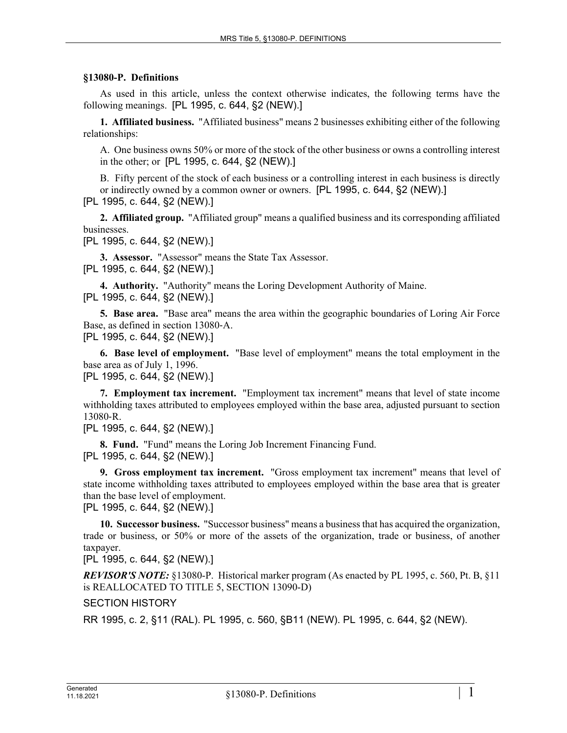## **§13080-P. Definitions**

As used in this article, unless the context otherwise indicates, the following terms have the following meanings. [PL 1995, c. 644, §2 (NEW).]

**1. Affiliated business.** "Affiliated business" means 2 businesses exhibiting either of the following relationships:

A. One business owns 50% or more of the stock of the other business or owns a controlling interest in the other; or [PL 1995, c. 644, §2 (NEW).]

B. Fifty percent of the stock of each business or a controlling interest in each business is directly or indirectly owned by a common owner or owners. [PL 1995, c. 644, §2 (NEW).] [PL 1995, c. 644, §2 (NEW).]

**2. Affiliated group.** "Affiliated group" means a qualified business and its corresponding affiliated businesses.

[PL 1995, c. 644, §2 (NEW).]

**3. Assessor.** "Assessor" means the State Tax Assessor. [PL 1995, c. 644, §2 (NEW).]

**4. Authority.** "Authority" means the Loring Development Authority of Maine. [PL 1995, c. 644, §2 (NEW).]

**5. Base area.** "Base area" means the area within the geographic boundaries of Loring Air Force Base, as defined in section 13080‑A. [PL 1995, c. 644, §2 (NEW).]

**6. Base level of employment.** "Base level of employment" means the total employment in the base area as of July 1, 1996. [PL 1995, c. 644, §2 (NEW).]

**7. Employment tax increment.** "Employment tax increment" means that level of state income withholding taxes attributed to employees employed within the base area, adjusted pursuant to section 13080‑R.

[PL 1995, c. 644, §2 (NEW).]

**8. Fund.** "Fund" means the Loring Job Increment Financing Fund. [PL 1995, c. 644, §2 (NEW).]

**9. Gross employment tax increment.** "Gross employment tax increment" means that level of state income withholding taxes attributed to employees employed within the base area that is greater than the base level of employment.

[PL 1995, c. 644, §2 (NEW).]

**10. Successor business.** "Successor business" means a business that has acquired the organization, trade or business, or 50% or more of the assets of the organization, trade or business, of another taxpayer.

[PL 1995, c. 644, §2 (NEW).]

*REVISOR'S NOTE:* §13080-P. Historical marker program (As enacted by PL 1995, c. 560, Pt. B, §11 is REALLOCATED TO TITLE 5, SECTION 13090-D)

SECTION HISTORY

RR 1995, c. 2, §11 (RAL). PL 1995, c. 560, §B11 (NEW). PL 1995, c. 644, §2 (NEW).